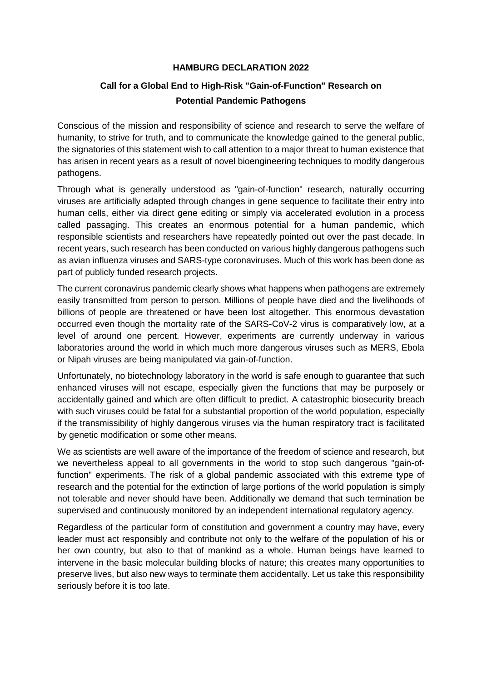## **HAMBURG DECLARATION 2022**

## **Call for a Global End to High-Risk "Gain-of-Function" Research on Potential Pandemic Pathogens**

Conscious of the mission and responsibility of science and research to serve the welfare of humanity, to strive for truth, and to communicate the knowledge gained to the general public, the signatories of this statement wish to call attention to a major threat to human existence that has arisen in recent years as a result of novel bioengineering techniques to modify dangerous pathogens.

Through what is generally understood as "gain-of-function" research, naturally occurring viruses are artificially adapted through changes in gene sequence to facilitate their entry into human cells, either via direct gene editing or simply via accelerated evolution in a process called passaging. This creates an enormous potential for a human pandemic, which responsible scientists and researchers have repeatedly pointed out over the past decade. In recent years, such research has been conducted on various highly dangerous pathogens such as avian influenza viruses and SARS-type coronaviruses. Much of this work has been done as part of publicly funded research projects.

The current coronavirus pandemic clearly shows what happens when pathogens are extremely easily transmitted from person to person. Millions of people have died and the livelihoods of billions of people are threatened or have been lost altogether. This enormous devastation occurred even though the mortality rate of the SARS-CoV-2 virus is comparatively low, at a level of around one percent. However, experiments are currently underway in various laboratories around the world in which much more dangerous viruses such as MERS, Ebola or Nipah viruses are being manipulated via gain-of-function.

Unfortunately, no biotechnology laboratory in the world is safe enough to guarantee that such enhanced viruses will not escape, especially given the functions that may be purposely or accidentally gained and which are often difficult to predict. A catastrophic biosecurity breach with such viruses could be fatal for a substantial proportion of the world population, especially if the transmissibility of highly dangerous viruses via the human respiratory tract is facilitated by genetic modification or some other means.

We as scientists are well aware of the importance of the freedom of science and research, but we nevertheless appeal to all governments in the world to stop such dangerous "gain-offunction" experiments. The risk of a global pandemic associated with this extreme type of research and the potential for the extinction of large portions of the world population is simply not tolerable and never should have been. Additionally we demand that such termination be supervised and continuously monitored by an independent international regulatory agency.

Regardless of the particular form of constitution and government a country may have, every leader must act responsibly and contribute not only to the welfare of the population of his or her own country, but also to that of mankind as a whole. Human beings have learned to intervene in the basic molecular building blocks of nature; this creates many opportunities to preserve lives, but also new ways to terminate them accidentally. Let us take this responsibility seriously before it is too late.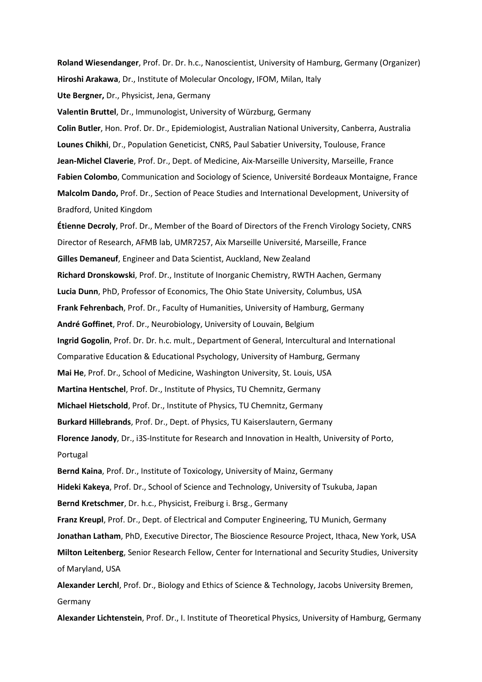**Roland Wiesendanger**, Prof. Dr. Dr. h.c., Nanoscientist, University of Hamburg, Germany (Organizer) **Hiroshi Arakawa**, Dr., Institute of Molecular Oncology, IFOM, Milan, Italy **Ute Bergner,** Dr., Physicist, Jena, Germany

**Valentin Bruttel**, Dr., Immunologist, University of Würzburg, Germany **Colin Butler**, Hon. Prof. Dr. Dr., Epidemiologist, Australian National University, Canberra, Australia **Lounes Chikhi**, Dr., Population Geneticist, CNRS, Paul Sabatier University, Toulouse, France **Jean-Michel Claverie**, Prof. Dr., Dept. of Medicine, Aix-Marseille University, Marseille, France **Fabien Colombo**, Communication and Sociology of Science, Université Bordeaux Montaigne, France **Malcolm Dando,** Prof. Dr., Section of Peace Studies and International Development, University of Bradford, United Kingdom

**Étienne Decroly**, Prof. Dr., Member of the Board of Directors of the French Virology Society, CNRS Director of Research, AFMB lab, UMR7257, Aix Marseille Université, Marseille, France **Gilles Demaneuf**, Engineer and Data Scientist, Auckland, New Zealand **Richard Dronskowski**, Prof. Dr., Institute of Inorganic Chemistry, RWTH Aachen, Germany **Lucia Dunn**, PhD, Professor of Economics, The Ohio State University, Columbus, USA **Frank Fehrenbach**, Prof. Dr., Faculty of Humanities, University of Hamburg, Germany **André Goffinet**, Prof. Dr., Neurobiology, University of Louvain, Belgium **Ingrid Gogolin**, Prof. Dr. Dr. h.c. mult., Department of General, Intercultural and International Comparative Education & Educational Psychology, University of Hamburg, Germany **Mai He**, Prof. Dr., School of Medicine, Washington University, St. Louis, USA **Martina Hentschel**, Prof. Dr., Institute of Physics, TU Chemnitz, Germany **Michael Hietschold**, Prof. Dr., Institute of Physics, TU Chemnitz, Germany **Burkard Hillebrands**, Prof. Dr., Dept. of Physics, TU Kaiserslautern, Germany **Florence Janody**, Dr., i3S-Institute for Research and Innovation in Health, University of Porto, Portugal **Bernd Kaina**, Prof. Dr., Institute of Toxicology, University of Mainz, Germany **Hideki Kakeya**, Prof. Dr., School of Science and Technology, University of Tsukuba, Japan **Bernd Kretschmer**, Dr. h.c., Physicist, Freiburg i. Brsg., Germany **Franz Kreupl**, Prof. Dr., Dept. of Electrical and Computer Engineering, TU Munich, Germany **Jonathan Latham**, PhD, Executive Director, The Bioscience Resource Project, Ithaca, New York, USA **Milton Leitenberg**, Senior Research Fellow, Center for International and Security Studies, University of Maryland, USA

**Alexander Lerchl**, Prof. Dr., Biology and Ethics of Science & Technology, Jacobs University Bremen, Germany

**Alexander Lichtenstein**, Prof. Dr., I. Institute of Theoretical Physics, University of Hamburg, Germany